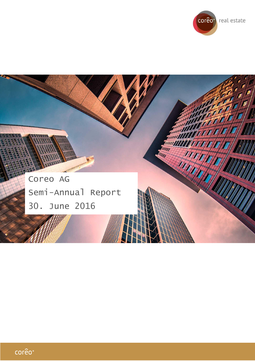



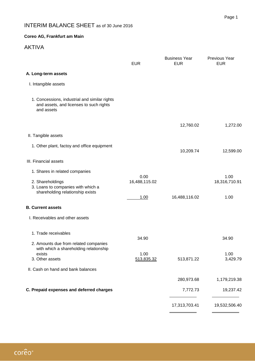# INTERIM BALANCE SHEET as of 30 June 2016

### **Coreo AG, Frankfurt am Main**

## AKTIVA

|                                                                                                              | <b>EUR</b>            | <b>Business Year</b><br><b>EUR</b> | Previous Year<br><b>EUR</b> |
|--------------------------------------------------------------------------------------------------------------|-----------------------|------------------------------------|-----------------------------|
| A. Long-term assets                                                                                          |                       |                                    |                             |
| I. Intangible assets                                                                                         |                       |                                    |                             |
| 1. Concessions, industrial and similar rights<br>and assets, and licenses to such rights<br>and assets       |                       |                                    |                             |
|                                                                                                              |                       | 12,760.02                          | 1,272.00                    |
| II. Tangible assets                                                                                          |                       |                                    |                             |
| 1. Other plant, factoy and office equipment                                                                  |                       | 10,209.74                          | 12,599.00                   |
| III. Financial assets                                                                                        |                       |                                    |                             |
| 1. Shares in related companies                                                                               |                       |                                    |                             |
| 2. Shareholdings<br>3. Loans to companies with which a<br>shareholding relationship exists                   | 0.00<br>16,488,115.02 |                                    | 1.00<br>18,316,710.91       |
|                                                                                                              | 1.00                  | 16,488,116.02                      | 1.00                        |
| <b>B. Current assets</b>                                                                                     |                       |                                    |                             |
| I. Receivables and other assets                                                                              |                       |                                    |                             |
| 1. Trade receivables                                                                                         | 34.90                 |                                    | 34.90                       |
| 2. Amounts due from related companies<br>with which a shareholding relationship<br>exists<br>3. Other assets | 1.00<br>513,835.32    | 513,871.22                         | 1.00<br>3,429.79            |
| II. Cash on hand and bank balances                                                                           |                       |                                    |                             |
|                                                                                                              |                       | 280,973.68                         | 1,179,219.38                |
| C. Prepaid expenses and deferred charges                                                                     |                       | 7,772.73                           | 19,237.42                   |
|                                                                                                              |                       | 17,313,703.41                      | 19,532,506.40               |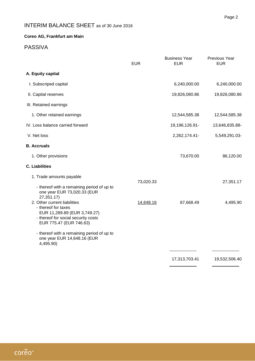# INTERIM BALANCE SHEET as of 30 June 2016

### **Coreo AG, Frankfurt am Main**

### PASSIVA

|                                                                                                                                                       | <b>EUR</b> | <b>Business Year</b><br><b>EUR</b> | Previous Year<br><b>EUR</b> |
|-------------------------------------------------------------------------------------------------------------------------------------------------------|------------|------------------------------------|-----------------------------|
| A. Equity capital                                                                                                                                     |            |                                    |                             |
| I. Subscriped capital                                                                                                                                 |            | 6,240,000.00                       | 6,240,000.00                |
| II. Capital reserves                                                                                                                                  |            | 19,826,080.86                      | 19,826,080.86               |
| III. Retained earnings                                                                                                                                |            |                                    |                             |
| 1. Other retained earnings                                                                                                                            |            | 12,544,585.38                      | 12,544,585.38               |
| IV. Loss balance carried forward                                                                                                                      |            | 19,196,126.91-                     | 13,646,835.88-              |
| V. Net loss                                                                                                                                           |            | 2,262,174.41-                      | 5,549,291.03-               |
| <b>B.</b> Accruals                                                                                                                                    |            |                                    |                             |
| 1. Other provisions                                                                                                                                   |            | 73,670.00                          | 86,120.00                   |
| <b>C. Liabilities</b>                                                                                                                                 |            |                                    |                             |
| 1. Trade amounts payable                                                                                                                              | 73,020.33  |                                    | 27,351.17                   |
| - thereof with a remaining period of up to<br>one year EUR 73,020.33 (EUR<br>27,351.17)                                                               |            |                                    |                             |
| 2. Other current liabilities<br>- thereof for taxes<br>EUR 11,289.89 (EUR 3,749.27)<br>- thereof for social security costs<br>EUR 775.47 (EUR 746.63) | 14,648.16  | 87,668.49                          | 4,495.90                    |
| - thereof with a remaining period of up to<br>one year EUR 14,648.16 (EUR<br>4,495.90)                                                                |            |                                    |                             |
|                                                                                                                                                       |            | 17,313,703.41                      | 19,532,506.40               |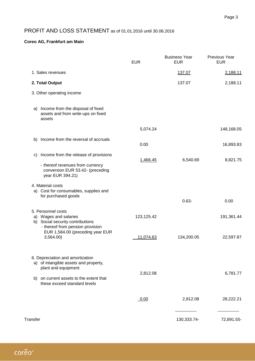## PROFIT AND LOSS STATEMENT as of 01.01.2016 until 30.06.2016

#### **Coreo AG, Frankfurt am Main**

|                                                                                                                                                                             | <b>EUR</b> | <b>Business Year</b><br><b>EUR</b> | Previous Year<br><b>EUR</b> |
|-----------------------------------------------------------------------------------------------------------------------------------------------------------------------------|------------|------------------------------------|-----------------------------|
| 1. Sales revenues                                                                                                                                                           |            | 137.07                             | 2,188.11                    |
| 2. Total Output                                                                                                                                                             |            | 137.07                             | 2,188.11                    |
| 3. Other operating income                                                                                                                                                   |            |                                    |                             |
| a) Income from the disposal of fixed<br>assets and from write-ups on fixed<br>assets                                                                                        |            |                                    |                             |
|                                                                                                                                                                             | 5,074.24   |                                    | 148,168.05                  |
| b) Income from the reversal of accruals                                                                                                                                     | 0.00       |                                    | 16,893.83                   |
| Income from the release of provisions<br>C)<br>- thereof revenues from currency<br>conversion EUR 53.42- (preceding<br>year EUR 394.21)                                     | 1,466.45   | 6,540.69                           | 8,821.75                    |
| 4. Material costs<br>a) Cost for consumables, supplies and<br>for purchased goods                                                                                           |            | $0.63 -$                           | 0.00                        |
| 5. Personnel costs<br>a) Wages and salaries<br>b) Social security contributions<br>- thereof from pension provision                                                         | 123,125.42 |                                    | 191,361.44                  |
| EUR 1,584.00 (preceding year EUR<br>3,564.00                                                                                                                                | 11,074.63  | 134,200.05                         | 22,597.87                   |
| 6. Depreciation and amortization<br>a) of intangible assets and property,<br>plant and equipment<br>b) on current assets to the extent that<br>these exceed standard levels | 2,812.08   |                                    | 6,781.77                    |
|                                                                                                                                                                             | 0.00       | 2,812.08                           | 28,222.21                   |
| Transfer                                                                                                                                                                    |            | 130,333.74-                        | 72,891.55-                  |

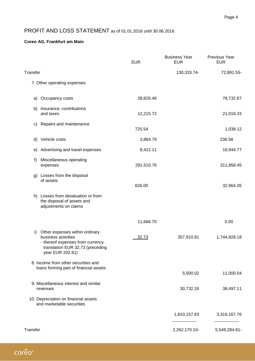## PROFIT AND LOSS STATEMENT as of 01.01.2016 until 30.06.2016

### **Coreo AG, Frankfurt am Main**

|          |                                                                                                                                                   | <b>EUR</b> | <b>Business Year</b><br><b>EUR</b> | Previous Year<br><b>EUR</b> |
|----------|---------------------------------------------------------------------------------------------------------------------------------------------------|------------|------------------------------------|-----------------------------|
| Transfer |                                                                                                                                                   |            | 130,333.74-                        | 72,891.55-                  |
|          | 7. Other operating expenses                                                                                                                       |            |                                    |                             |
| a)       | Occupancy costs                                                                                                                                   | 28,826.46  |                                    | 78,732.87                   |
|          | b) Insurance, contributions<br>and taxes                                                                                                          | 12,215.72  |                                    | 21,019.33                   |
|          | c) Repairs and maintenance                                                                                                                        | 725.54     |                                    | 1,038.12                    |
|          | d) Vehicle costs                                                                                                                                  | 3,884.79   |                                    | 236.58                      |
|          | e) Advertising and travel expenses                                                                                                                | 8,422.11   |                                    | 18,944.77                   |
| f)       | Miscellaneous operating<br>expenses                                                                                                               | 291,510.76 |                                    | 311,858.45                  |
|          | g) Losses from the disposal<br>of assets                                                                                                          | 626.00     |                                    | 32,964.35                   |
|          | h) Losses from devaluation or from<br>the disposal of assets and<br>adjustments on claims                                                         |            |                                    |                             |
|          |                                                                                                                                                   | 11,666.70  |                                    | 0.00                        |
| i)       | Other expenses within ordinary<br>business activities<br>- thereof expenses from currency<br>translation EUR 32.73 (preceding<br>year EUR 202.61) | 32.73      | 357,910.81                         | 1,744,928.18                |
|          | 8. Income from other securities and<br>loans forming part of financial assets                                                                     |            |                                    |                             |
|          |                                                                                                                                                   |            | 5,500.02                           | 11,000.04                   |
|          | 9. Miscellaneous interest and similar<br>revenues                                                                                                 |            | 30,732.26                          | 38,497.11                   |
|          | 10. Depreciation on financial assets<br>and marketable securities                                                                                 |            |                                    |                             |
|          |                                                                                                                                                   |            | 1,810,157.83                       | 3,316,167.76                |
| Transfer |                                                                                                                                                   |            | 2,262,170.10-                      | 5,549,284.81-               |

corêo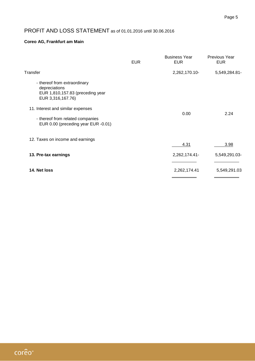## PROFIT AND LOSS STATEMENT as of 01.01.2016 until 30.06.2016

#### **Coreo AG, Frankfurt am Main**

|                                                                                                        | <b>EUR</b> | <b>Business Year</b><br><b>EUR</b> | <b>Previous Year</b><br><b>EUR</b> |
|--------------------------------------------------------------------------------------------------------|------------|------------------------------------|------------------------------------|
| Transfer                                                                                               |            | 2,262,170.10-                      | 5,549,284.81-                      |
| - thereof from extraordinary<br>depreciations<br>EUR 1,810,157.83 (preceding year<br>EUR 3,316,167.76) |            |                                    |                                    |
| 11. Interest and similar expenses                                                                      |            | 0.00                               | 2.24                               |
| - thereof from related companies<br>EUR 0.00 (preceding year EUR -0.01)                                |            |                                    |                                    |
| 12. Taxes on income and earnings                                                                       |            | 4.31                               | 3.98                               |
| 13. Pre-tax earnings                                                                                   |            | 2,262,174.41-                      | 5,549,291.03-                      |
| 14. Net loss                                                                                           |            | 2,262,174.41                       | 5,549,291.03                       |

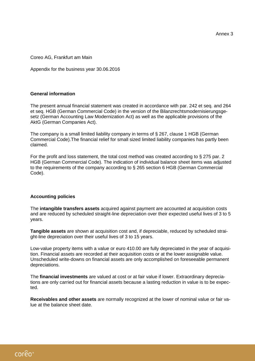Annex 3

Coreo AG, Frankfurt am Main

Appendix for the business year 30.06.2016

#### **General information**

The present annual financial statement was created in accordance with par. 242 et seq. and 264 et seq. HGB (German Commercial Code) in the version of the Bilanzrechtsmodernisierungsgesetz (German Accounting Law Modernization Act) as well as the applicable provisions of the AktG (German Companies Act).

The company is a small limited liability company in terms of § 267, clause 1 HGB (German Commercial Code).The financial relief for small sized limited liability companies has partly been claimed.

For the profit and loss statement, the total cost method was created according to § 275 par. 2 HGB (German Commercial Code). The indication of individual balance sheet items was adjusted to the requirements of the company according to § 265 section 6 HGB (German Commercial Code).

#### **Accounting policies**

The **intangible transfers assets** acquired against payment are accounted at acquisition costs and are reduced by scheduled straight-line depreciation over their expected useful lives of 3 to 5 years.

**Tangible assets** are shown at acquisition cost and, if depreciable, reduced by scheduled straight-line depreciation over their useful lives of 3 to 15 years.

Low-value property items with a value or euro 410.00 are fully depreciated in the year of acquisition. Financial assets are recorded at their acquisition costs or at the lower assignable value. Unscheduled write-downs on financial assets are only accomplished on foreseeable permanent depreciations.

The **financial investments** are valued at cost or at fair value if lower. Extraordinary depreciations are only carried out for financial assets because a lasting reduction in value is to be expected.

**Receivables and other assets** are normally recognized at the lower of nominal value or fair value at the balance sheet date.

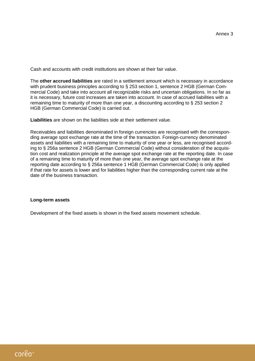Cash and accounts with credit institutions are shown at their fair value.

The **other accrued liabilities** are rated in a settlement amount which is necessary in accordance with prudent business principles according to § 253 section 1, sentence 2 HGB (German Commercial Code) and take into account all recognizable risks and uncertain obligations. In so far as it is necessary, future cost increases are taken into account. In case of accrued liabilities with a remaining time to maturity of more than one year, a discounting according to § 253 section 2 HGB (German Commercial Code) is carried out.

**Liabilities** are shown on the liabilities side at their settlement value.

Receivables and liabilities denominated in foreign currencies are recognised with the corresponding average spot exchange rate at the time of the transaction. Foreign-currency denominated assets and liabilities with a remaining time to maturity of one year or less, are recognised according to § 256a sentence 2 HGB (German Commercial Code) without consideration of the acquisition cost and realization principle at the average spot exchange rate at the reporting date. In case of a remaining time to maturity of more than one year, the average spot exchange rate at the reporting date according to § 256a sentence 1 HGB (German Commercial Code) is only applied if that rate for assets is lower and for liabilities higher than the corresponding current rate at the date of the business transaction.

#### **Long-term assets**

Development of the fixed assets is shown in the fixed assets movement schedule.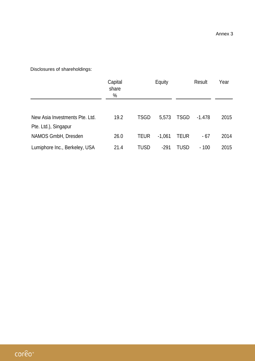Disclosures of shareholdings:

|                                                        | Capital<br>share<br>% |             | Equity   |             | Result   |      |
|--------------------------------------------------------|-----------------------|-------------|----------|-------------|----------|------|
| New Asia Investments Pte. Ltd.<br>Pte. Ltd.), Singapur | 19.2                  | <b>TSGD</b> | 5,573    | <b>TSGD</b> | $-1.478$ | 2015 |
| NAMOS GmbH, Dresden                                    | 26.0                  | <b>TEUR</b> | $-1,061$ | <b>TEUR</b> | $-67$    | 2014 |
| Lumiphore Inc., Berkeley, USA                          | 21.4                  | TUSD        | $-291$   | TUSD        | $-100$   | 2015 |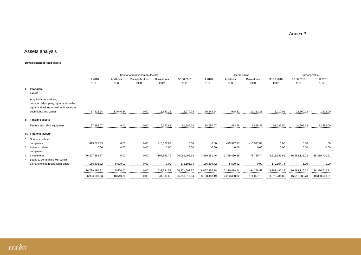Annex 3

## Assets analysis

#### **Development of fixed assets**

|    |                                                                                                             |                  |            | Cost of acquisition/ manufacture |                    |               |              |              | Depreciation       |              |               | Carrying value |
|----|-------------------------------------------------------------------------------------------------------------|------------------|------------|----------------------------------|--------------------|---------------|--------------|--------------|--------------------|--------------|---------------|----------------|
|    |                                                                                                             | 1.1.2016         | Additions  | Reclassification                 | <b>Disvestures</b> | 30.06.2016    | 1.1.2016     | Additions    | <b>Disvestures</b> | 30.06.2016   | 30.06.2016    | 31.12.2015     |
|    |                                                                                                             | <b>EUR</b>       | <b>EUR</b> | <b>EUR</b>                       | <b>EUR</b>         | EUR           | <b>EUR</b>   | <b>EUR</b>   | <b>EUR</b>         | <b>EUR</b>   | <b>EUR</b>    | <b>EUR</b>     |
| ι. | Intangible<br>assets                                                                                        |                  |            |                                  |                    |               |              |              |                    |              |               |                |
|    | Acquired concessions,<br>commercial property rights and similar<br>rights and values as well as licences at |                  |            |                                  |                    |               |              |              |                    |              |               |                |
|    | such rights and values                                                                                      | 17,816.94        | 13,040.34  | 0.00                             | 11,887.25          | 18,970.03     | 16,544.94    | 978.32       | 11,313.25          | 6,210.01     | 12,760.02     | 1,272.00       |
|    | II. Tangible assets                                                                                         |                  |            |                                  |                    |               |              |              |                    |              |               |                |
|    | Factory and office equipment                                                                                | 97,296.07        | 0.00       | 0.00                             | 6,050.83           | 91,245.24     | 84,697.07    | 1,833.76     | 5,495.33           | 81,035.50    | 10,209.74     | 12,599.00      |
|    | III. Financial assets                                                                                       |                  |            |                                  |                    |               |              |              |                    |              |               |                |
|    | Shares in related<br>companies                                                                              | 415,528.83       | 0.00       | 0.00                             | 415,528.83         | 0.00          | 0.00         | 415,527.83   | 415,527.83         | 0.00         | 0.00          | 1.00           |
|    | 2. Loans to related<br>companies                                                                            | 0.00             | 0.00       | 0.00                             | 0.00               | 0.00          | 0.00         | 0.00         | 0.00               | 0.00         | 0.00          | 0.00           |
|    | 3. Investments                                                                                              | 26, 207, 362. 37 | 0.00       | 0.00                             | 107,865.74         | 26,099,496.63 | 7,890,651.46 | 1,799,460.89 | 78,730.74          | 9,611,381.61 | 16,488,115.02 | 18,316,710.91  |
| 4. | Loans to companies with which                                                                               |                  |            |                                  |                    |               |              |              |                    |              |               |                |
|    | a shareholding relationship exists                                                                          | 166,605.72       | 5,500.02   | 0.00                             | 0.00               | 172,105.74    | 166,604.72   | 5,500.02     | 0.00               | 172,104.74   | 1.00          | 1.00           |
|    |                                                                                                             | 26,789,496.92    | 5,500.02   | 0.00                             | 523,394.57         | 26,271,602.37 | 8,057,256.18 | 2,220,488.74 | 494,258.57         | 9,783,486.35 | 16,488,116.02 | 18,316,712.91  |
|    |                                                                                                             | 26,904,609.93    | 18,540.36  | 0.00                             | 541,332.65         | 26,381,817.64 | 8,158,498.19 | 2,223,300.82 | 511,067.15         | 9,870,731.86 | 16,511,085.78 | 18,330,583.91  |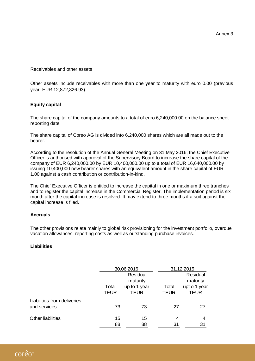Receivables and other assets

Other assets include receivables with more than one year to maturity with euro 0.00 (previous year: EUR 12,872,826.93).

### **Equity capital**

The share capital of the company amounts to a total of euro 6,240,000.00 on the balance sheet reporting date.

The share capital of Coreo AG is divided into 6,240,000 shares which are all made out to the bearer.

According to the resolution of the Annual General Meeting on 31 May 2016, the Chief Executive Officer is authorised with approval of the Supervisory Board to increase the share capital of the company of EUR 6,240,000.00 by EUR 10,400,000.00 up to a total of EUR 16,640,000.00 by issuing 10,400,000 new bearer shares with an equivalent amount in the share capital of EUR 1.00 against a cash contribution or contribution-in-kind.

The Chief Executive Officer is entitled to increase the capital in one or maximum three tranches and to register the capital increase in the Commercial Register. The implementation period is six month after the capital increase is resolved. It may extend to three months if a suit against the capital increase is filed.

#### **Accruals**

The other provisions relate mainly to global risk provisioning for the investment portfolio, overdue vacation allowances, reporting costs as well as outstanding purchase invoices.

#### **Liabilities**

|                                             |               | 30.06.2016                  |                      | 31.12.2015                  |  |  |  |
|---------------------------------------------|---------------|-----------------------------|----------------------|-----------------------------|--|--|--|
|                                             |               | Residual<br>maturity        |                      | Residual<br>maturity        |  |  |  |
|                                             | Total<br>TEUR | up to 1 year<br><b>TEUR</b> | Total<br><b>TEUR</b> | upt o 1 year<br><b>TEUR</b> |  |  |  |
| Liabilities from deliveries<br>and services | 73            | 73                          | 27                   | 27                          |  |  |  |
| <b>Other liabilities</b>                    | 15<br>88      | 15<br>88                    | 4<br>31              | 4<br>31                     |  |  |  |